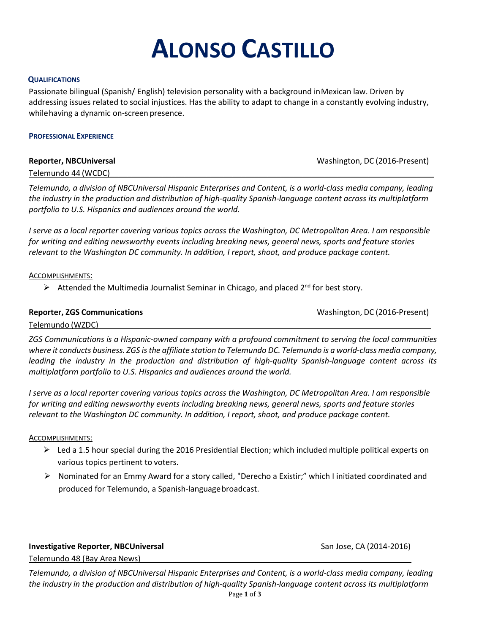# **ALONSO CASTILLO**

# **QUALIFICATIONS**

Passionate bilingual (Spanish/ English) television personality with a background inMexican law. Driven by addressing issues related to social injustices. Has the ability to adapt to change in a constantly evolving industry, whilehaving a dynamic on-screen presence.

### **PROFESSIONAL EXPERIENCE**

| <b>Reporter, NBCUniversal</b> | Washington, DC (2016-Present) |
|-------------------------------|-------------------------------|
| Telemundo 44 (WCDC)           |                               |

*Telemundo, a division of NBCUniversal Hispanic Enterprises and Content, is a world-class media company, leading the industry in the production and distribution of high-quality Spanish-language content across its multiplatform portfolio to U.S. Hispanics and audiences around the world.*

*I serve as a local reporter covering various topics across the Washington, DC Metropolitan Area. I am responsible for writing and editing newsworthy events including breaking news, general news, sports and feature stories relevant to the Washington DC community. In addition, I report, shoot, and produce package content.*

# ACCOMPLISHMENTS:

Attended the Multimedia Journalist Seminar in Chicago, and placed  $2^{nd}$  for best story.

# **Reporter, ZGS Communications** Magnus And Mashington, DC (2016-Present)

Telemundo (WZDC)

*ZGS Communications is a Hispanic-owned company with a profound commitment to serving the local communities where it conducts business. ZGS is the affiliate station to Telemundo DC. Telemundo is a world-class media company, leading the industry in the production and distribution of high-quality Spanish-language content across its multiplatform portfolio to U.S. Hispanics and audiences around the world.*

*I serve as a local reporter covering various topics across the Washington, DC Metropolitan Area. I am responsible for writing and editing newsworthy events including breaking news, general news, sports and feature stories relevant to the Washington DC community. In addition, I report, shoot, and produce package content.*

# ACCOMPLISHMENTS:

- $\triangleright$  Led a 1.5 hour special during the 2016 Presidential Election; which included multiple political experts on various topics pertinent to voters.
- $\triangleright$  Nominated for an Emmy Award for a story called, "Derecho a Existir;" which I initiated coordinated and produced for Telemundo, a Spanish-language broadcast.

**Investigative Reporter, NBCUniversal** *San Jose, CA* **(2014-2016) <b>San Jose**, CA (2014-2016)

Telemundo 48 (Bay Area News)

*Telemundo, a division of NBCUniversal Hispanic Enterprises and Content, is a world-class media company, leading the industry in the production and distribution of high-quality Spanish-language content across its multiplatform*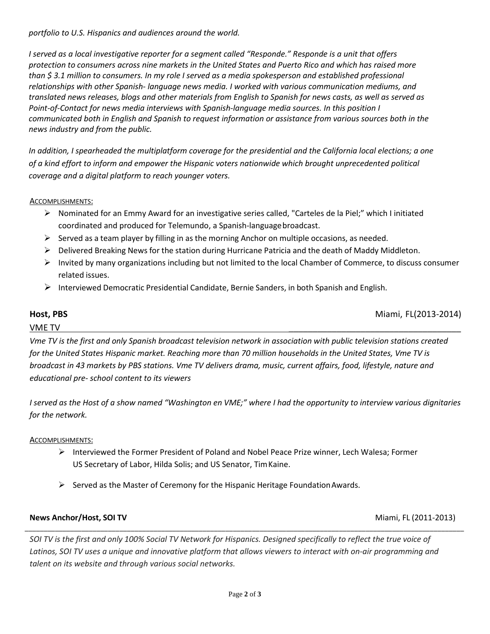*portfolio to U.S. Hispanics and audiences around the world.*

*I served as a local investigative reporter for a segment called "Responde." Responde is a unit that offers protection to consumers across nine markets in the United States and Puerto Rico and which has raised more than \$ 3.1 million to consumers. In my role I served as a media spokesperson and established professional relationships with other Spanish- language news media. I worked with various communication mediums, and translated news releases, blogs and other materials from English to Spanish for news casts, as well as served as Point-of-Contact for news media interviews with Spanish-language media sources. In this position I communicated both in English and Spanish to request information or assistance from various sources both in the news industry and from the public.*

*In addition, I spearheaded the multiplatform coverage for the presidential and the California local elections; a one of a kind effort to inform and empower the Hispanic voters nationwide which brought unprecedented political coverage and a digital platform to reach younger voters.*

ACCOMPLISHMENTS:

- Nominated for an Emmy Award for an investigative series called, "Carteles de la Piel;" which I initiated coordinated and produced for Telemundo, a Spanish-languagebroadcast.
- $\triangleright$  Served as a team player by filling in as the morning Anchor on multiple occasions, as needed.
- ▶ Delivered Breaking News for the station during Hurricane Patricia and the death of Maddy Middleton.
- $\triangleright$  Invited by many organizations including but not limited to the local Chamber of Commerce, to discuss consumer related issues.
- Interviewed Democratic Presidential Candidate, Bernie Sanders, in both Spanish and English.

**Host, PBS** Miami, FL(2013-2014)

# $V\overline{\text{ME TV}}$

*Vme TV is the first and only [Spanish](https://en.wikipedia.org/wiki/Spanish-language) broadcast television network in association with [public television](https://en.wikipedia.org/wiki/Public_television) stations created for the [United States](https://en.wikipedia.org/wiki/United_States) Hispanic market. Reaching more than 70 million households in the United States, Vme TV is broadcast in 43 markets by [PBS](https://en.wikipedia.org/wiki/PBS) stations. Vme TV delivers drama, music, current affairs, food, lifestyle, nature and educational pre- school content to its viewers*

*I served as the Host of a show named "Washington en VME;" where I had the opportunity to interview various dignitaries for the network.*

# ACCOMPLISHMENTS:

- $\triangleright$  Interviewed the Former President of Poland and Nobel Peace Prize winner, Lech Walesa; Former US Secretary of Labor, Hilda Solis; and US Senator, TimKaine.
- $\triangleright$  Served as the Master of Ceremony for the Hispanic Heritage Foundation Awards.

# **News Anchor/Host, SOI TV** Miami, FL (2011-2013)

*SOI TV is the first and only 100% Social TV Network for Hispanics. Designed specifically to reflect the true voice of*  Latinos, SOI TV uses a unique and innovative platform that allows viewers to interact with on-air programming and *talent on its website and through various social networks.*

\_\_\_\_\_\_\_\_\_\_\_\_\_\_\_\_\_\_\_\_\_\_\_\_\_\_\_\_\_\_\_\_\_\_\_\_\_\_\_\_\_\_\_\_\_\_\_\_\_\_\_\_\_\_\_\_\_\_\_\_\_\_\_\_\_\_\_\_\_\_\_\_\_\_\_\_\_\_\_\_\_\_\_\_\_\_\_\_\_\_\_\_\_\_\_\_\_\_\_\_\_\_\_\_\_\_\_\_\_\_\_\_\_\_\_\_